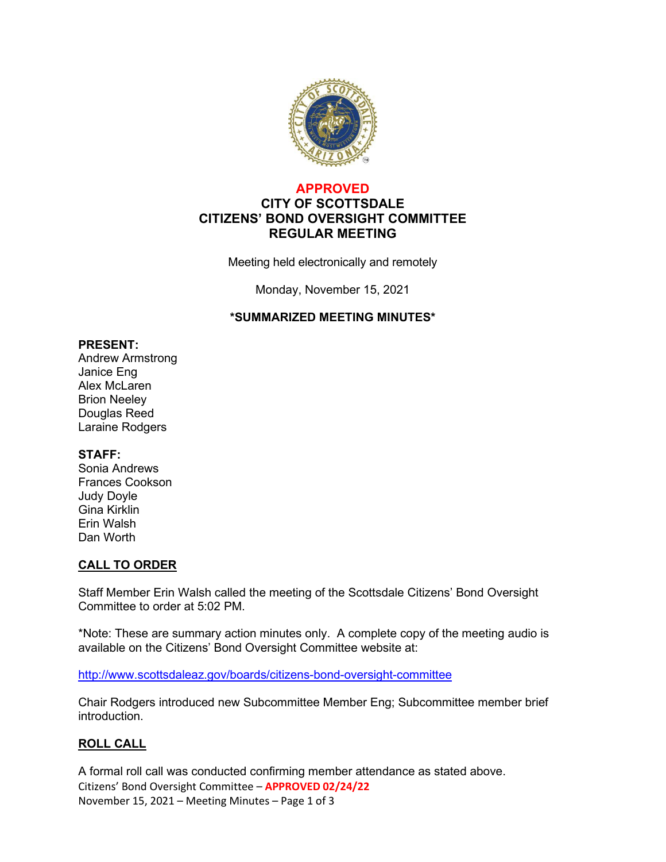

## **APPROVED CITY OF SCOTTSDALE CITIZENS' BOND OVERSIGHT COMMITTEE REGULAR MEETING**

Meeting held electronically and remotely

Monday, November 15, 2021

#### **\*SUMMARIZED MEETING MINUTES\***

#### **PRESENT:**

Andrew Armstrong Janice Eng Alex McLaren Brion Neeley Douglas Reed Laraine Rodgers

#### **STAFF:**

Sonia Andrews Frances Cookson Judy Doyle Gina Kirklin Erin Walsh Dan Worth

### **CALL TO ORDER**

Staff Member Erin Walsh called the meeting of the Scottsdale Citizens' Bond Oversight Committee to order at 5:02 PM.

\*Note: These are summary action minutes only. A complete copy of the meeting audio is available on the Citizens' Bond Oversight Committee website at:

<http://www.scottsdaleaz.gov/boards/citizens-bond-oversight-committee>

Chair Rodgers introduced new Subcommittee Member Eng; Subcommittee member brief introduction.

### **ROLL CALL**

Citizens' Bond Oversight Committee – **APPROVED 02/24/22** November 15, 2021 – Meeting Minutes – Page 1 of 3 A formal roll call was conducted confirming member attendance as stated above.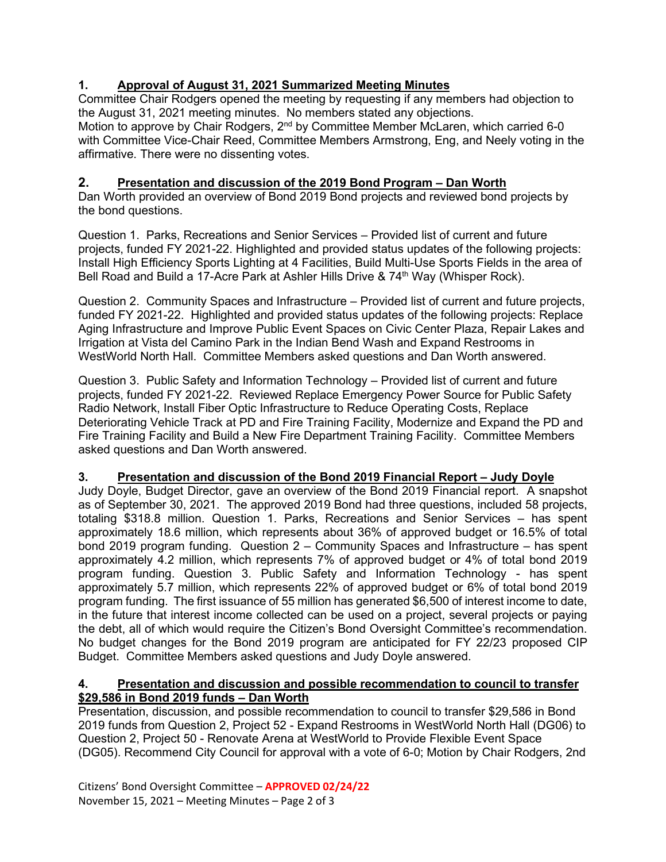# **1. Approval of August 31, 2021 Summarized Meeting Minutes**

Committee Chair Rodgers opened the meeting by requesting if any members had objection to the August 31, 2021 meeting minutes. No members stated any objections. Motion to approve by Chair Rodgers, 2<sup>nd</sup> by Committee Member McLaren, which carried 6-0 with Committee Vice-Chair Reed, Committee Members Armstrong, Eng, and Neely voting in the affirmative. There were no dissenting votes.

# **2. Presentation and discussion of the 2019 Bond Program – Dan Worth**

Dan Worth provided an overview of Bond 2019 Bond projects and reviewed bond projects by the bond questions.

Question 1. Parks, Recreations and Senior Services – Provided list of current and future projects, funded FY 2021-22. Highlighted and provided status updates of the following projects: Install High Efficiency Sports Lighting at 4 Facilities, Build Multi-Use Sports Fields in the area of Bell Road and Build a 17-Acre Park at Ashler Hills Drive & 74<sup>th</sup> Way (Whisper Rock).

Question 2. Community Spaces and Infrastructure – Provided list of current and future projects, funded FY 2021-22. Highlighted and provided status updates of the following projects: Replace Aging Infrastructure and Improve Public Event Spaces on Civic Center Plaza, Repair Lakes and Irrigation at Vista del Camino Park in the Indian Bend Wash and Expand Restrooms in WestWorld North Hall. Committee Members asked questions and Dan Worth answered.

Question 3. Public Safety and Information Technology – Provided list of current and future projects, funded FY 2021-22. Reviewed Replace Emergency Power Source for Public Safety Radio Network, Install Fiber Optic Infrastructure to Reduce Operating Costs, Replace Deteriorating Vehicle Track at PD and Fire Training Facility, Modernize and Expand the PD and Fire Training Facility and Build a New Fire Department Training Facility. Committee Members asked questions and Dan Worth answered.

### **3. Presentation and discussion of the Bond 2019 Financial Report – Judy Doyle**

Judy Doyle, Budget Director, gave an overview of the Bond 2019 Financial report. A snapshot as of September 30, 2021. The approved 2019 Bond had three questions, included 58 projects, totaling \$318.8 million. Question 1. Parks, Recreations and Senior Services – has spent approximately 18.6 million, which represents about 36% of approved budget or 16.5% of total bond 2019 program funding. Question 2 – Community Spaces and Infrastructure – has spent approximately 4.2 million, which represents 7% of approved budget or 4% of total bond 2019 program funding. Question 3. Public Safety and Information Technology - has spent approximately 5.7 million, which represents 22% of approved budget or 6% of total bond 2019 program funding. The first issuance of 55 million has generated \$6,500 of interest income to date, in the future that interest income collected can be used on a project, several projects or paying the debt, all of which would require the Citizen's Bond Oversight Committee's recommendation. No budget changes for the Bond 2019 program are anticipated for FY 22/23 proposed CIP Budget. Committee Members asked questions and Judy Doyle answered.

#### **4. Presentation and discussion and possible recommendation to council to transfer \$29,586 in Bond 2019 funds – Dan Worth**

Presentation, discussion, and possible recommendation to council to transfer \$29,586 in Bond 2019 funds from Question 2, Project 52 - Expand Restrooms in WestWorld North Hall (DG06) to Question 2, Project 50 - Renovate Arena at WestWorld to Provide Flexible Event Space (DG05). Recommend City Council for approval with a vote of 6-0; Motion by Chair Rodgers, 2nd